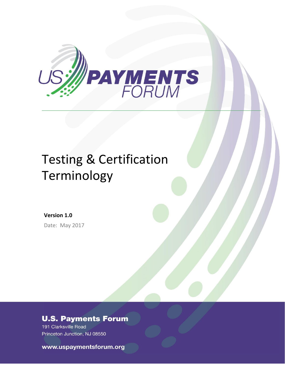

# Testing & Certification Terminology

**Version 1.0** Date: May 2017

### **U.S. Payments Forum**

191 Clarksville Road Princeton Junction, NJ 08550

U.S. Payments Forum ©2017<sup>2</sup> **Page 1**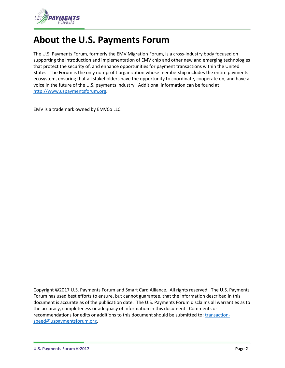

## **About the U.S. Payments Forum**

The U.S. Payments Forum, formerly the EMV Migration Forum, is a cross-industry body focused on supporting the introduction and implementation of EMV chip and other new and emerging technologies that protect the security of, and enhance opportunities for payment transactions within the United States. The Forum is the only non-profit organization whose membership includes the entire payments ecosystem, ensuring that all stakeholders have the opportunity to coordinate, cooperate on, and have a voice in the future of the U.S. payments industry. Additional information can be found at [http://www.uspaymentsforum.org.](http://www.uspaymentsforum.org/)

EMV is a trademark owned by EMVCo LLC.

Copyright ©2017 U.S. Payments Forum and Smart Card Alliance. All rights reserved. The U.S. Payments Forum has used best efforts to ensure, but cannot guarantee, that the information described in this document is accurate as of the publication date. The U.S. Payments Forum disclaims all warranties as to the accuracy, completeness or adequacy of information in this document. Comments or recommendations for edits or additions to this document should be submitted to: [transaction](mailto:transaction-speed@uspaymentsforum.org)[speed@uspaymentsforum.org.](mailto:transaction-speed@uspaymentsforum.org)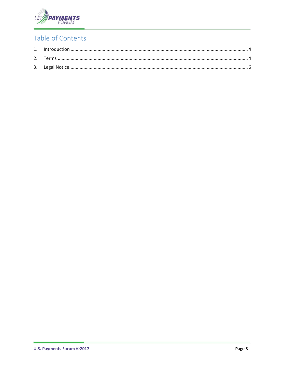

#### Table of Contents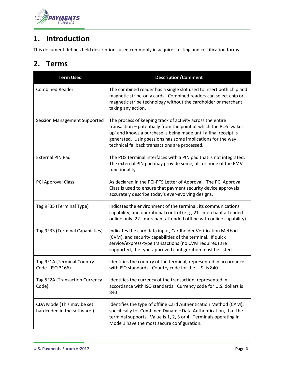

#### <span id="page-3-0"></span>**1. Introduction**

This document defines field descriptions used commonly in acquirer testing and certification forms.

#### <span id="page-3-1"></span>**2. Terms**

| <b>Term Used</b>                                         | <b>Description/Comment</b>                                                                                                                                                                                                                                                                                         |
|----------------------------------------------------------|--------------------------------------------------------------------------------------------------------------------------------------------------------------------------------------------------------------------------------------------------------------------------------------------------------------------|
| <b>Combined Reader</b>                                   | The combined reader has a single slot used to insert both chip and<br>magnetic stripe-only cards. Combined readers can select chip or<br>magnetic stripe technology without the cardholder or merchant<br>taking any action.                                                                                       |
| <b>Session Management Supported</b>                      | The process of keeping track of activity across the entire<br>transaction - potentially from the point at which the POS 'wakes<br>up' and knows a purchase is being made until a final receipt is<br>generated. Using sessions has some implications for the way<br>technical fallback transactions are processed. |
| <b>External PIN Pad</b>                                  | The POS terminal interfaces with a PIN pad that is not integrated.<br>The external PIN pad may provide some, all, or none of the EMV<br>functionality.                                                                                                                                                             |
| PCI Approval Class                                       | As declared in the PCI-PTS Letter of Approval. The PCI Approval<br>Class is used to ensure that payment security device approvals<br>accurately describe today's ever-evolving designs.                                                                                                                            |
| Tag 9F35 (Terminal Type)                                 | Indicates the environment of the terminal, its communications<br>capability, and operational control (e.g., 21 - merchant attended<br>online only, 22 - merchant attended offline with online capability)                                                                                                          |
| Tag 9F33 (Terminal Capabilities)                         | Indicates the card data input, Cardholder Verification Method<br>(CVM), and security capabilities of the terminal. If quick<br>service/express-type transactions (no CVM required) are<br>supported, the type-approved configuration must be listed.                                                               |
| Tag 9F1A (Terminal Country<br>Code - ISO 3166)           | Identifies the country of the terminal, represented in accordance<br>with ISO standards. Country code for the U.S. is 840                                                                                                                                                                                          |
| Tag 5F2A (Transaction Currency<br>Code)                  | Identifies the currency of the transaction, represented in<br>accordance with ISO standards. Currency code for U.S. dollars is<br>840                                                                                                                                                                              |
| CDA Mode (This may be set<br>hardcoded in the software.) | Identifies the type of offline Card Authentication Method (CAM),<br>specifically for Combined Dynamic Data Authentication, that the<br>terminal supports. Value is 1, 2, 3 or 4. Terminals operating in<br>Mode 1 have the most secure configuration.                                                              |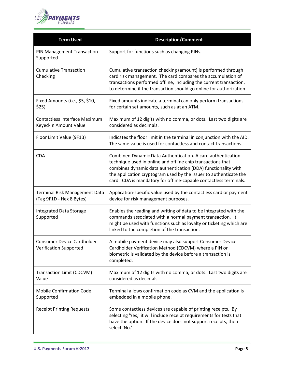

| <b>Term Used</b>                                              | <b>Description/Comment</b>                                                                                                                                                                                                                                                                                                            |
|---------------------------------------------------------------|---------------------------------------------------------------------------------------------------------------------------------------------------------------------------------------------------------------------------------------------------------------------------------------------------------------------------------------|
| PIN Management Transaction<br>Supported                       | Support for functions such as changing PINs.                                                                                                                                                                                                                                                                                          |
| <b>Cumulative Transaction</b><br>Checking                     | Cumulative transaction checking (amount) is performed through<br>card risk management. The card compares the accumulation of<br>transactions performed offline, including the current transaction,<br>to determine if the transaction should go online for authorization.                                                             |
| Fixed Amounts (i.e., \$5, \$10,<br>\$25)                      | Fixed amounts indicate a terminal can only perform transactions<br>for certain set amounts, such as at an ATM.                                                                                                                                                                                                                        |
| <b>Contactless Interface Maximum</b><br>Keyed-In Amount Value | Maximum of 12 digits with no comma, or dots. Last two digits are<br>considered as decimals.                                                                                                                                                                                                                                           |
| Floor Limit Value (9F1B)                                      | Indicates the floor limit in the terminal in conjunction with the AID.<br>The same value is used for contactless and contact transactions.                                                                                                                                                                                            |
| <b>CDA</b>                                                    | Combined Dynamic Data Authentication. A card authentication<br>technique used in online and offline chip transactions that<br>combines dynamic data authentication (DDA) functionality with<br>the application cryptogram used by the issuer to authenticate the<br>card. CDA is mandatory for offline-capable contactless terminals. |
| Terminal Risk Management Data<br>(Tag 9F1D - Hex 8 Bytes)     | Application-specific value used by the contactless card or payment<br>device for risk management purposes.                                                                                                                                                                                                                            |
| <b>Integrated Data Storage</b><br>Supported                   | Enables the reading and writing of data to be integrated with the<br>commands associated with a normal payment transaction. It<br>might be used with functions such as loyalty or ticketing which are<br>linked to the completion of the transaction.                                                                                 |
| Consumer Device Cardholder<br><b>Verification Supported</b>   | A mobile payment device may also support Consumer Device<br>Cardholder Verification Method (CDCVM) where a PIN or<br>biometric is validated by the device before a transaction is<br>completed.                                                                                                                                       |
| Transaction Limit (CDCVM)<br>Value                            | Maximum of 12 digits with no comma, or dots. Last two digits are<br>considered as decimals.                                                                                                                                                                                                                                           |
| <b>Mobile Confirmation Code</b><br>Supported                  | Terminal allows confirmation code as CVM and the application is<br>embedded in a mobile phone.                                                                                                                                                                                                                                        |
| <b>Receipt Printing Requests</b>                              | Some contactless devices are capable of printing receipts. By<br>selecting 'Yes,' it will include receipt requirements for tests that<br>have the option. If the device does not support receipts, then<br>select 'No.'                                                                                                               |